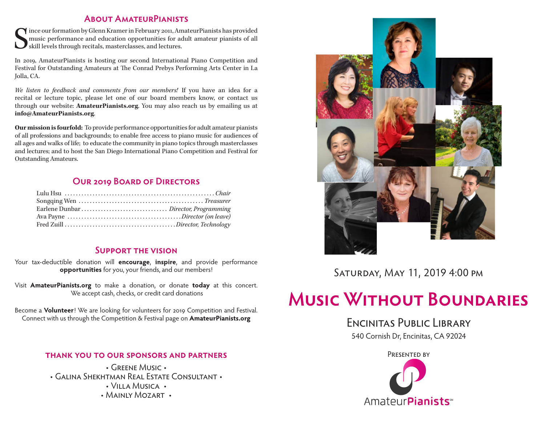#### **About AmateurPianists**

S ince our formation by Glenn Kramer in February 2011, AmateurPianists has provided music performance and education opportunities for adult amateur pianists of all skill levels through recitals, masterclasses, and lectures.

In 2019, AmateurPianists is hosting our second International Piano Competition and Festival for Outstanding Amateurs at The Conrad Prebys Performing Arts Center in La Jolla, CA.

*We listen to feedback and comments from our members!* If you have an idea for a recital or lecture topic, please let one of our board members know, or contact us through our website: **AmateurPianists.org**. You may also reach us by emailing us at **info@AmateurPianists.org**.

**Our mission is fourfold:** To provide performance opportunities for adult amateur pianists of all professions and backgrounds; to enable free access to piano music for audiences of all ages and walks of life; to educate the community in piano topics through masterclasses and lectures; and to host the San Diego International Piano Competition and Festival for Outstanding Amateurs.

#### **Our 2019 Board of Directors**

#### **Support the vision**

Your tax-deductible donation will **encourage**, **inspire**, and provide performance **opportunities** for you, your friends, and our members!

Visit **AmateurPianists.org** to make a donation, or donate **today** at this concert. We accept cash, checks, or credit card donations

Become a **Volunteer**! We are looking for volunteers for 2019 Competition and Festival. Connect with us through the Competition & Festival page on **AmateurPianists.org**

#### **thank you to our sponsors and partners**

• Greene Music • • Galina Shekhtman Real Estate Consultant • • Villa Musica • • MAINLY MOZART •



### Saturday, May 11, 2019 4:00 pm

# **Music Without Boundaries**

#### Encinitas Public Library

540 Cornish Dr, Encinitas, CA 92024